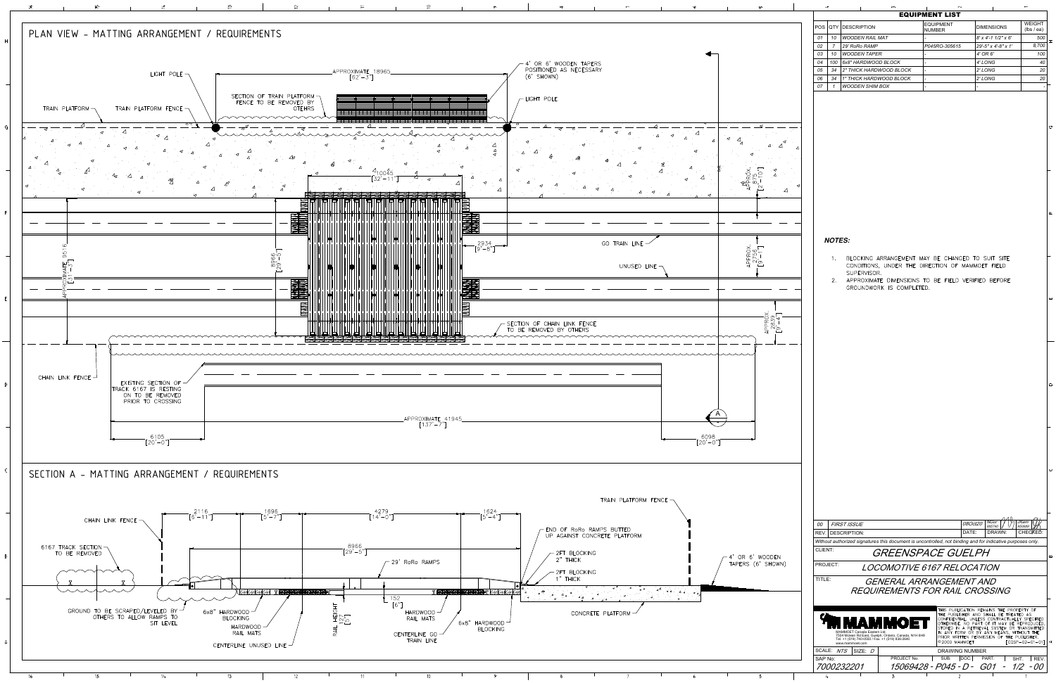

| <b>WEIGHT</b><br><b>EQUIPMENT</b><br>QTY   DESCRIPTION<br><b>DIMENSIONS</b><br>(lbs/ea)<br><b>NUMBER</b><br>$8'$ x 4'-1 1/2" x 6'<br>01<br>10<br><b>WOODEN RAIL MAT</b><br>500<br>8,700<br>29' RoRo RAMP<br>29'-5" x 4'-8" x 1'<br>02<br>$\overline{7}$<br>P045RO-305615<br>03<br>10<br><b>WOODEN TAPER</b><br>4' OR 6'<br>100<br>04<br>100<br>40<br>6x8" HARDWOOD BLOCK<br>4' LONG<br>ä,<br>2" THICK HARDWOOD BLOCK<br>05<br>2' LONG<br>20<br>34<br>$\overline{a}$<br>20<br>06<br>34<br>1" THICK HARDWOOD BLOCK<br>2' LONG<br><b>WOODEN SHIM BOX</b><br>07<br>$\mathbf{1}$<br>O<br>Щ<br><b>NOTES:</b><br>BLOCKING ARRANGEMENT MAY BE CHANGED TO SUIT SITE<br>1.<br>CONDITIONS, UNDER THE DIRECTION OF MAMMOET FIELD<br>SUPERVISOR.<br>APPROXIMATE DIMENSIONS TO BE FIELD VERIFIED BEFORE<br>2.<br>GROUNDWORK IS COMPLETED.<br>ш<br>$\circ$<br>NGor<br>955740<br><b>JKem</b><br>08Oct20<br><b>FIRST ISSUE</b><br>00<br>950689<br><b>DESCRIPTION:</b><br>DATE:<br>DRAWN:<br>REV.<br>CHEOKED:<br>Without authorized signatures this document is uncontrolled, not binding and for indicative purposes only. |         |  | <b>EQUIPMENT LIST</b> |  |
|-----------------------------------------------------------------------------------------------------------------------------------------------------------------------------------------------------------------------------------------------------------------------------------------------------------------------------------------------------------------------------------------------------------------------------------------------------------------------------------------------------------------------------------------------------------------------------------------------------------------------------------------------------------------------------------------------------------------------------------------------------------------------------------------------------------------------------------------------------------------------------------------------------------------------------------------------------------------------------------------------------------------------------------------------------------------------------------------------------------|---------|--|-----------------------|--|
|                                                                                                                                                                                                                                                                                                                                                                                                                                                                                                                                                                                                                                                                                                                                                                                                                                                                                                                                                                                                                                                                                                           | POS     |  |                       |  |
|                                                                                                                                                                                                                                                                                                                                                                                                                                                                                                                                                                                                                                                                                                                                                                                                                                                                                                                                                                                                                                                                                                           |         |  |                       |  |
|                                                                                                                                                                                                                                                                                                                                                                                                                                                                                                                                                                                                                                                                                                                                                                                                                                                                                                                                                                                                                                                                                                           |         |  |                       |  |
|                                                                                                                                                                                                                                                                                                                                                                                                                                                                                                                                                                                                                                                                                                                                                                                                                                                                                                                                                                                                                                                                                                           |         |  |                       |  |
|                                                                                                                                                                                                                                                                                                                                                                                                                                                                                                                                                                                                                                                                                                                                                                                                                                                                                                                                                                                                                                                                                                           |         |  |                       |  |
|                                                                                                                                                                                                                                                                                                                                                                                                                                                                                                                                                                                                                                                                                                                                                                                                                                                                                                                                                                                                                                                                                                           |         |  |                       |  |
|                                                                                                                                                                                                                                                                                                                                                                                                                                                                                                                                                                                                                                                                                                                                                                                                                                                                                                                                                                                                                                                                                                           |         |  |                       |  |
|                                                                                                                                                                                                                                                                                                                                                                                                                                                                                                                                                                                                                                                                                                                                                                                                                                                                                                                                                                                                                                                                                                           |         |  |                       |  |
|                                                                                                                                                                                                                                                                                                                                                                                                                                                                                                                                                                                                                                                                                                                                                                                                                                                                                                                                                                                                                                                                                                           |         |  |                       |  |
|                                                                                                                                                                                                                                                                                                                                                                                                                                                                                                                                                                                                                                                                                                                                                                                                                                                                                                                                                                                                                                                                                                           |         |  |                       |  |
|                                                                                                                                                                                                                                                                                                                                                                                                                                                                                                                                                                                                                                                                                                                                                                                                                                                                                                                                                                                                                                                                                                           |         |  |                       |  |
|                                                                                                                                                                                                                                                                                                                                                                                                                                                                                                                                                                                                                                                                                                                                                                                                                                                                                                                                                                                                                                                                                                           |         |  |                       |  |
|                                                                                                                                                                                                                                                                                                                                                                                                                                                                                                                                                                                                                                                                                                                                                                                                                                                                                                                                                                                                                                                                                                           |         |  |                       |  |
|                                                                                                                                                                                                                                                                                                                                                                                                                                                                                                                                                                                                                                                                                                                                                                                                                                                                                                                                                                                                                                                                                                           |         |  |                       |  |
|                                                                                                                                                                                                                                                                                                                                                                                                                                                                                                                                                                                                                                                                                                                                                                                                                                                                                                                                                                                                                                                                                                           |         |  |                       |  |
|                                                                                                                                                                                                                                                                                                                                                                                                                                                                                                                                                                                                                                                                                                                                                                                                                                                                                                                                                                                                                                                                                                           |         |  |                       |  |
|                                                                                                                                                                                                                                                                                                                                                                                                                                                                                                                                                                                                                                                                                                                                                                                                                                                                                                                                                                                                                                                                                                           |         |  |                       |  |
|                                                                                                                                                                                                                                                                                                                                                                                                                                                                                                                                                                                                                                                                                                                                                                                                                                                                                                                                                                                                                                                                                                           |         |  |                       |  |
|                                                                                                                                                                                                                                                                                                                                                                                                                                                                                                                                                                                                                                                                                                                                                                                                                                                                                                                                                                                                                                                                                                           |         |  |                       |  |
|                                                                                                                                                                                                                                                                                                                                                                                                                                                                                                                                                                                                                                                                                                                                                                                                                                                                                                                                                                                                                                                                                                           |         |  |                       |  |
|                                                                                                                                                                                                                                                                                                                                                                                                                                                                                                                                                                                                                                                                                                                                                                                                                                                                                                                                                                                                                                                                                                           |         |  |                       |  |
|                                                                                                                                                                                                                                                                                                                                                                                                                                                                                                                                                                                                                                                                                                                                                                                                                                                                                                                                                                                                                                                                                                           |         |  |                       |  |
|                                                                                                                                                                                                                                                                                                                                                                                                                                                                                                                                                                                                                                                                                                                                                                                                                                                                                                                                                                                                                                                                                                           |         |  |                       |  |
|                                                                                                                                                                                                                                                                                                                                                                                                                                                                                                                                                                                                                                                                                                                                                                                                                                                                                                                                                                                                                                                                                                           |         |  |                       |  |
|                                                                                                                                                                                                                                                                                                                                                                                                                                                                                                                                                                                                                                                                                                                                                                                                                                                                                                                                                                                                                                                                                                           |         |  |                       |  |
|                                                                                                                                                                                                                                                                                                                                                                                                                                                                                                                                                                                                                                                                                                                                                                                                                                                                                                                                                                                                                                                                                                           |         |  |                       |  |
|                                                                                                                                                                                                                                                                                                                                                                                                                                                                                                                                                                                                                                                                                                                                                                                                                                                                                                                                                                                                                                                                                                           |         |  |                       |  |
|                                                                                                                                                                                                                                                                                                                                                                                                                                                                                                                                                                                                                                                                                                                                                                                                                                                                                                                                                                                                                                                                                                           |         |  |                       |  |
|                                                                                                                                                                                                                                                                                                                                                                                                                                                                                                                                                                                                                                                                                                                                                                                                                                                                                                                                                                                                                                                                                                           |         |  |                       |  |
|                                                                                                                                                                                                                                                                                                                                                                                                                                                                                                                                                                                                                                                                                                                                                                                                                                                                                                                                                                                                                                                                                                           |         |  |                       |  |
|                                                                                                                                                                                                                                                                                                                                                                                                                                                                                                                                                                                                                                                                                                                                                                                                                                                                                                                                                                                                                                                                                                           |         |  |                       |  |
|                                                                                                                                                                                                                                                                                                                                                                                                                                                                                                                                                                                                                                                                                                                                                                                                                                                                                                                                                                                                                                                                                                           |         |  |                       |  |
|                                                                                                                                                                                                                                                                                                                                                                                                                                                                                                                                                                                                                                                                                                                                                                                                                                                                                                                                                                                                                                                                                                           |         |  |                       |  |
|                                                                                                                                                                                                                                                                                                                                                                                                                                                                                                                                                                                                                                                                                                                                                                                                                                                                                                                                                                                                                                                                                                           |         |  |                       |  |
|                                                                                                                                                                                                                                                                                                                                                                                                                                                                                                                                                                                                                                                                                                                                                                                                                                                                                                                                                                                                                                                                                                           |         |  |                       |  |
|                                                                                                                                                                                                                                                                                                                                                                                                                                                                                                                                                                                                                                                                                                                                                                                                                                                                                                                                                                                                                                                                                                           |         |  |                       |  |
|                                                                                                                                                                                                                                                                                                                                                                                                                                                                                                                                                                                                                                                                                                                                                                                                                                                                                                                                                                                                                                                                                                           |         |  |                       |  |
|                                                                                                                                                                                                                                                                                                                                                                                                                                                                                                                                                                                                                                                                                                                                                                                                                                                                                                                                                                                                                                                                                                           |         |  |                       |  |
|                                                                                                                                                                                                                                                                                                                                                                                                                                                                                                                                                                                                                                                                                                                                                                                                                                                                                                                                                                                                                                                                                                           | CLIENT: |  | GREENSPACE GUELPH     |  |
| PROJECT:<br><i>LOCOMOTIVE 6167 RELOCATION</i>                                                                                                                                                                                                                                                                                                                                                                                                                                                                                                                                                                                                                                                                                                                                                                                                                                                                                                                                                                                                                                                             |         |  |                       |  |
| TITLE:<br>GENERAL ARRANGEMENT AND                                                                                                                                                                                                                                                                                                                                                                                                                                                                                                                                                                                                                                                                                                                                                                                                                                                                                                                                                                                                                                                                         |         |  |                       |  |
| <b>REQUIREMENTS FOR RAIL CROSSING</b>                                                                                                                                                                                                                                                                                                                                                                                                                                                                                                                                                                                                                                                                                                                                                                                                                                                                                                                                                                                                                                                                     |         |  |                       |  |
|                                                                                                                                                                                                                                                                                                                                                                                                                                                                                                                                                                                                                                                                                                                                                                                                                                                                                                                                                                                                                                                                                                           |         |  |                       |  |
| THIS PUBLICATION REMAINS THE PROPERTY OF<br>THE PUBLISHER AND SHALL BE TREATED AS<br>CONFIDENTIAL, UNLESS CONTRACTUALLY SPECIFIED<br>OTHERWISE. NO PART OF IT MAY BE REPRODUCED,<br>STORED IN A RETRIEVAL SYSTEM OR TRANSMITTED                                                                                                                                                                                                                                                                                                                                                                                                                                                                                                                                                                                                                                                                                                                                                                                                                                                                           |         |  |                       |  |
| IN ANY FORM OR BY ANY MEANS, WITHOUT THE<br>MAMMOET Canada Eastern Ltd.<br>7504 Mclean Rd East, Guelph, Ontario, Canada, N1H 6H9<br>Tel. +1 (519) 740-0550 / Fax. +1 (519) 836-2640<br>PRIOR WRITTEN PERMISSION OF THE PUBLISHER.<br>⋖                                                                                                                                                                                                                                                                                                                                                                                                                                                                                                                                                                                                                                                                                                                                                                                                                                                                    |         |  |                       |  |
| $[CQSP-02-01-01]$<br>©2000 MAMMOET<br>www.mammoet.com<br>SIZE: D<br>SCALE: NTS<br>DRAWING NUMBER                                                                                                                                                                                                                                                                                                                                                                                                                                                                                                                                                                                                                                                                                                                                                                                                                                                                                                                                                                                                          |         |  |                       |  |